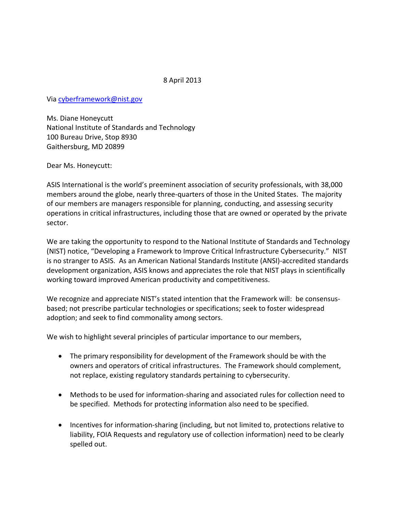## 8 April 2013

Via [cyberframework@nist.gov](mailto:cyberframework@nist.gov)

Ms. Diane Honeycutt National Institute of Standards and Technology 100 Bureau Drive, Stop 8930 Gaithersburg, MD 20899

Dear Ms. Honeycutt:

ASIS International is the world's preeminent association of security professionals, with 38,000 members around the globe, nearly three-quarters of those in the United States. The majority of our members are managers responsible for planning, conducting, and assessing security operations in critical infrastructures, including those that are owned or operated by the private sector.

We are taking the opportunity to respond to the National Institute of Standards and Technology (NIST) notice, "Developing a Framework to Improve Critical Infrastructure Cybersecurity." NIST is no stranger to ASIS. As an American National Standards Institute (ANSI)-accredited standards development organization, ASIS knows and appreciates the role that NIST plays in scientifically working toward improved American productivity and competitiveness.

We recognize and appreciate NIST's stated intention that the Framework will: be consensusbased; not prescribe particular technologies or specifications; seek to foster widespread adoption; and seek to find commonality among sectors.

We wish to highlight several principles of particular importance to our members,

- The primary responsibility for development of the Framework should be with the owners and operators of critical infrastructures. The Framework should complement, not replace, existing regulatory standards pertaining to cybersecurity.
- Methods to be used for information-sharing and associated rules for collection need to be specified. Methods for protecting information also need to be specified.
- Incentives for information-sharing (including, but not limited to, protections relative to liability, FOIA Requests and regulatory use of collection information) need to be clearly spelled out.